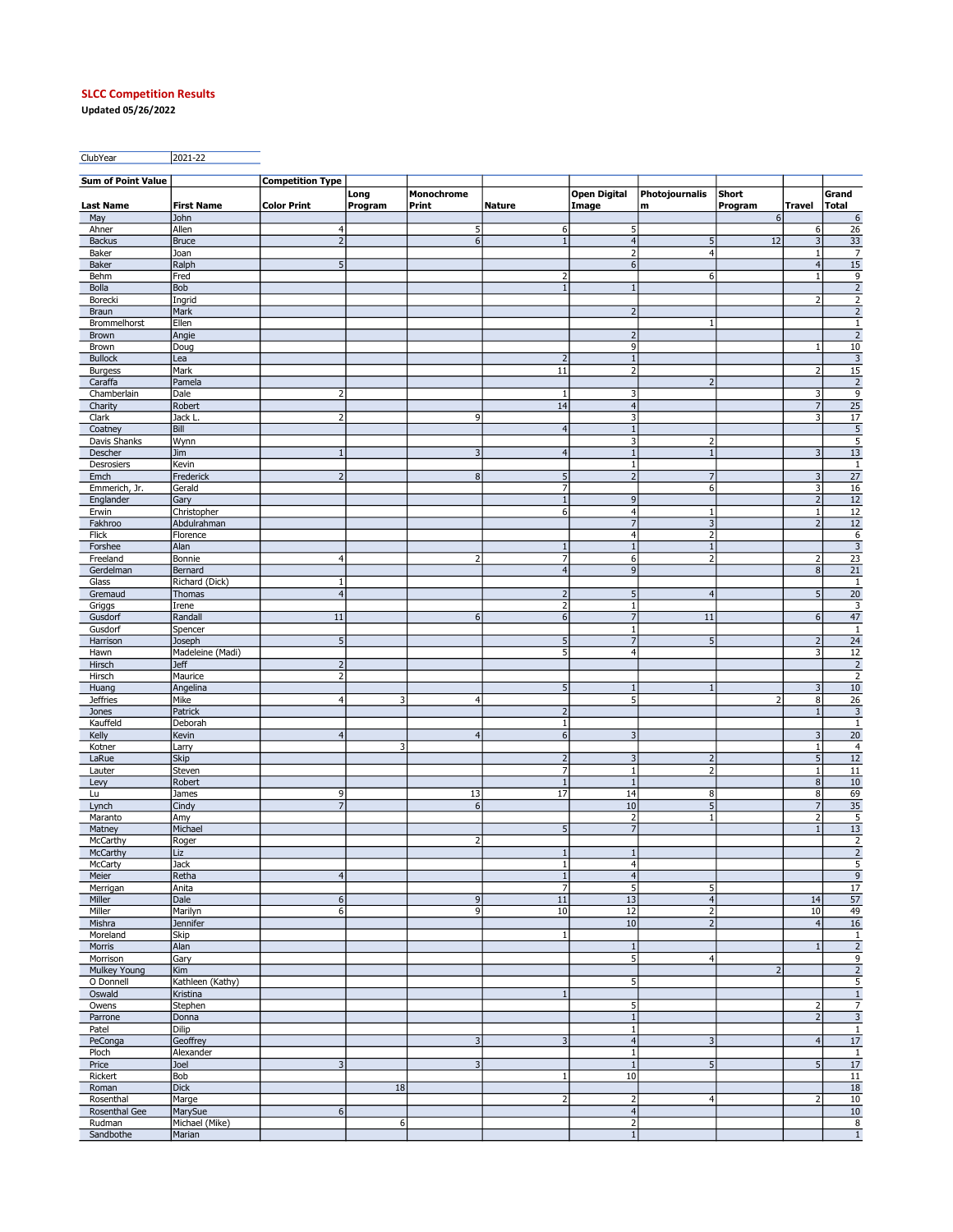## SLCC Competition Results

Updated 05/26/2022

ClubYear 2021-22

| <b>Sum of Point Value</b>    |                          | <b>Competition Type</b>          |         |                         |                          |                                |                                |                |                                  |                                   |
|------------------------------|--------------------------|----------------------------------|---------|-------------------------|--------------------------|--------------------------------|--------------------------------|----------------|----------------------------------|-----------------------------------|
|                              |                          |                                  | Long    | Monochrome              |                          | <b>Open Digital</b>            | Photojournalis                 | Short          |                                  | Grand                             |
| <b>Last Name</b>             | <b>First Name</b>        | <b>Color Print</b>               | Program | Print                   | <b>Nature</b>            | Image                          | m                              | Program        | Travel                           | <b>Total</b>                      |
| May                          | John                     |                                  |         |                         |                          |                                |                                | 6              |                                  | 6<br>$\overline{26}$              |
| Ahner<br><b>Backus</b>       | Allen<br>Bruce           | $\overline{4}$<br>$\overline{2}$ |         | 5<br>$\sqrt{6}$         | 6<br>$1\,$               | 5<br>$\overline{4}$            | $5\phantom{.0}$                | 12             | 6<br>3                           |                                   |
| Baker                        | Joan                     |                                  |         |                         |                          | $\overline{2}$                 | $\overline{4}$                 |                | $\mathbf{1}$                     | $\frac{33}{7}$                    |
| <b>Baker</b>                 | Ralph                    | 5                                |         |                         |                          | $\boldsymbol{6}$               |                                |                | $\vert$                          | $\overline{15}$                   |
| Behm                         | Fred                     |                                  |         |                         | $\overline{2}$           |                                | 6                              |                | $\mathbf{1}$                     |                                   |
| Bolla                        | <b>Bob</b>               |                                  |         |                         | $\mathbf{1}$             |                                |                                |                |                                  | $\frac{9}{2}$                     |
| Borecki                      | Ingrid                   |                                  |         |                         |                          |                                |                                |                | $\overline{2}$                   | $\frac{2}{2}$                     |
| <b>Braun</b>                 | Mark                     |                                  |         |                         |                          | $\overline{2}$                 |                                |                |                                  |                                   |
| Brommelhorst<br><b>Brown</b> | Ellen<br>Angie           |                                  |         |                         |                          | $\overline{2}$                 | $\mathbf{1}$                   |                |                                  | $\,1\,$<br>$\overline{2}$         |
| Brown                        | Doug                     |                                  |         |                         |                          | 9                              |                                |                | $\,1\,$                          | $10\,$                            |
| <b>Bullock</b>               | Lea                      |                                  |         |                         | $\overline{2}$           | $\mathbf{1}$                   |                                |                |                                  | $\overline{3}$                    |
| <b>Burgess</b>               | Mark                     |                                  |         |                         | 11                       | $\overline{2}$                 |                                |                | $\overline{2}$                   | $\overline{15}$                   |
| Caraffa                      | Pamela                   |                                  |         |                         |                          |                                | $\overline{2}$                 |                |                                  | $\overline{2}$                    |
| Chamberlain                  | Dale                     | $\overline{2}$                   |         |                         | $\mathbf 1$              | 3                              |                                |                | 3                                | $\overline{9}$                    |
| Charity                      | Robert                   |                                  |         |                         | 14                       | $\overline{4}$                 |                                |                | $\overline{7}$                   | $\overline{25}$                   |
| Clark                        | Jack L                   | $\overline{2}$                   |         | 9                       |                          | 3                              |                                |                | $\overline{\mathbf{3}}$          | $\overline{17}$                   |
| Coatney<br>Davis Shanks      | Bill<br>Wynn             |                                  |         |                         | $\overline{4}$           | $\mathbf{1}$<br>$\overline{3}$ | $\overline{\mathbf{c}}$        |                |                                  | $\frac{5}{5}$                     |
| Descher                      | <b>Jim</b>               |                                  |         | 3                       | $\overline{4}$           | $\mathbf{1}$                   | $1\,$                          |                | 3                                | 13                                |
| Desrosiers                   | Kevin                    |                                  |         |                         |                          | $\mathbf{1}$                   |                                |                |                                  | $\mathbf{1}$                      |
| Emch                         | Frederick                | $\overline{2}$                   |         | $\infty$                | $\overline{5}$           | $\overline{2}$                 | $\overline{7}$                 |                | 3                                | $\overline{27}$                   |
| Emmerich, Jr.                | Gerald                   |                                  |         |                         | $\overline{7}$           |                                | 6                              |                | $\overline{\mathbf{3}}$          | 16                                |
| Englander                    | Gary                     |                                  |         |                         | $\overline{1}$           | 9                              |                                |                | $\overline{2}$                   | 12                                |
| Erwin                        | Christopher              |                                  |         |                         | 6                        | $\overline{4}$                 | $\mathbf{1}$                   |                | $\mathbf{1}$                     | $\overline{12}$                   |
| Fakhroo                      | Abdulrahman              |                                  |         |                         |                          | $\overline{7}$                 | $\overline{\mathbf{3}}$        |                | $\overline{2}$                   | 12                                |
| Flick                        | Florence                 |                                  |         |                         |                          | $\overline{4}$                 | $\overline{2}$                 |                |                                  | $\frac{6}{3}$                     |
| Forshee                      | Alan                     |                                  |         |                         | $1\,$<br>$\overline{7}$  | $\mathbf{1}$                   | $\mathbf{1}$<br>$\overline{2}$ |                | $\overline{2}$                   |                                   |
| Freeland<br>Gerdelman        | Bonnie<br>Bernard        | $\overline{4}$                   |         | $\overline{2}$          | $\overline{4}$           | 6<br>9                         |                                |                | 8 <sup>1</sup>                   | $\overline{23}$<br>21             |
| Glass                        | Richard (Dick)           |                                  |         |                         |                          |                                |                                |                |                                  | $\,1\,$                           |
| Gremaud                      | Thomas                   | $\overline{4}$                   |         |                         | $\overline{2}$           | 5                              | $\overline{4}$                 |                | 5                                | 20                                |
| Griggs                       | Irene                    |                                  |         |                         | $\overline{2}$           | $\mathbf{1}$                   |                                |                |                                  | 3                                 |
| Gusdorf                      | Randall                  | 11                               |         | $6 \overline{6}$        | $\boldsymbol{6}$         | $\overline{7}$                 | 11                             |                | 6                                | $\overline{47}$                   |
| Gusdorf                      | Spencer                  |                                  |         |                         |                          | $\mathbf{1}$                   |                                |                |                                  | $\overline{1}$                    |
| Harrison                     | Joseph                   | 5                                |         |                         | 5                        | $\overline{7}$                 | 5                              |                | $\overline{2}$                   | 24                                |
| Hawn                         | Madeleine (Madi)         |                                  |         |                         | $\overline{5}$           | $\overline{4}$                 |                                |                | 3                                | $\overline{12}$                   |
| Hirsch                       | <b>Jeff</b>              | $\overline{2}$                   |         |                         |                          |                                |                                |                |                                  | $\overline{2}$                    |
| Hirsch<br>Huang              | Maurice<br>Angelina      | $\overline{2}$                   |         |                         | 5                        | $\mathbf{1}$                   | $\mathbf{1}$                   |                | 3                                | $\overline{2}$<br>$\overline{10}$ |
| <b>Jeffries</b>              | Mike                     | $\overline{4}$                   | 3       | $\overline{a}$          |                          | 5                              |                                | $\overline{2}$ | 8                                | $\overline{26}$                   |
| Jones                        | Patrick                  |                                  |         |                         | $\overline{2}$           |                                |                                |                | $\mathbf{1}$                     | $\overline{\mathbf{3}}$           |
| Kauffeld                     | Deborah                  |                                  |         |                         | $\mathbf{1}$             |                                |                                |                |                                  | $\overline{1}$                    |
| Kelly                        | Kevin                    | $\overline{4}$                   |         | $\overline{4}$          | $\overline{6}$           | $\overline{3}$                 |                                |                | $\overline{3}$                   | 20                                |
| Kotner                       | Larry                    |                                  | 3       |                         |                          |                                |                                |                | $\mathbf{1}$                     | $\overline{4}$                    |
| LaRue                        | <b>Skip</b>              |                                  |         |                         | $\overline{2}$           | $\mathsf 3$                    | $\overline{2}$                 |                | 5                                | 12                                |
| Lauter                       | Steven                   |                                  |         |                         | 7                        | $\mathbf{1}$                   | $\overline{2}$                 |                | $\mathbf{1}$                     | $\overline{11}$                   |
| Levy                         | Robert                   |                                  |         |                         | $\overline{1}$<br>17     | $\mathbf{1}$                   |                                |                | 8 <sup>1</sup><br>8 <sup>1</sup> | $\overline{10}$                   |
| Lu<br>Lynch                  | James<br>Cindy           | 9<br>$\overline{7}$              |         | 13<br>$6 \overline{6}$  |                          | 14<br>$10\,$                   | $\,$ 8 $\,$<br>$\overline{5}$  |                | 7                                | 69                                |
| Maranto                      | Amy                      |                                  |         |                         |                          | $\overline{2}$                 | $\mathbf{1}$                   |                | 2                                | $\frac{35}{5}$                    |
| Matney                       | Michael                  |                                  |         |                         | 5                        | $\overline{7}$                 |                                |                | $\mathbf{1}$                     | 13                                |
| McCarthy                     | Roger                    |                                  |         | $\overline{2}$          |                          |                                |                                |                |                                  | $\overline{2}$                    |
| McCarthy                     | Liz                      |                                  |         |                         | $\mathbf{1}$             | $\mathbf{1}$                   |                                |                |                                  | $\overline{2}$                    |
| McCarty                      | Jack                     |                                  |         |                         | $\mathbf{1}$             | $\overline{4}$                 |                                |                |                                  | 5                                 |
| Meier                        | Retha                    | $\overline{4}$                   |         |                         |                          | $\overline{4}$                 |                                |                |                                  | 9                                 |
| Merrigan<br>Miller           | Anita<br>Dale            | $\boldsymbol{6}$                 |         | $\overline{9}$          | $\overline{7}$<br>$11\,$ | 5<br>13                        | 5<br>$\overline{4}$            |                | 14                               | $17\,$<br>$\overline{57}$         |
| Miller                       | Marilyn                  | 6                                |         | 9                       | $10\,$                   | 12                             | $\overline{2}$                 |                | $10\,$                           | 49                                |
| Mishra                       | Jennifer                 |                                  |         |                         |                          | $10\,$                         | $\overline{2}$                 |                | $\overline{4}$                   | $\overline{16}$                   |
| Moreland                     | Skip                     |                                  |         |                         | $\mathbf 1$              |                                |                                |                |                                  | $\,1\,$                           |
| Morris                       | Alan                     |                                  |         |                         |                          | $\mathbf{1}$                   |                                |                | $\overline{1}$                   | $\overline{2}$                    |
| Morrison                     | Gary                     |                                  |         |                         |                          | 5                              | $\overline{4}$                 |                |                                  | $\overline{9}$                    |
| Mulkey Young                 | Kim                      |                                  |         |                         |                          |                                |                                | $\overline{2}$ |                                  | $\overline{2}$                    |
| O Donnell                    | Kathleen (Kathy)         |                                  |         |                         |                          | 5                              |                                |                |                                  | 5                                 |
| Oswald                       | Kristina                 |                                  |         |                         | $\mathbf{1}$             |                                |                                |                |                                  | $\overline{1}$                    |
| Owens                        | Stephen<br>Donna         |                                  |         |                         |                          | 5<br>$\mathbf{1}$              |                                |                | $\overline{2}$<br>$\overline{2}$ | $\overline{7}$                    |
| Parrone<br>Patel             | Dilip                    |                                  |         |                         |                          | $\mathbf{1}$                   |                                |                |                                  | $\overline{3}$<br>$\mathbf{1}$    |
| PeConga                      | Geoffrey                 |                                  |         | 3                       | 3                        | $\overline{4}$                 | $\overline{3}$                 |                | $\overline{4}$                   | $\overline{17}$                   |
| Ploch                        | Alexander                |                                  |         |                         |                          | $\mathbf{1}$                   |                                |                |                                  | $\mathbf{1}$                      |
| Price                        | Joel                     | 3                                |         | $\overline{\mathbf{3}}$ |                          | $\mathbf{1}$                   | $\sqrt{5}$                     |                | 5                                | $17$                              |
| Rickert                      | Bob                      |                                  |         |                         | $\mathbf{1}$             | 10                             |                                |                |                                  | 11                                |
| Roman                        | <b>Dick</b>              |                                  | 18      |                         |                          |                                |                                |                |                                  | 18                                |
| Rosenthal                    | Marge                    |                                  |         |                         | $\overline{2}$           | $\overline{2}$                 | $\overline{4}$                 |                | 2                                | 10                                |
| Rosenthal Gee                | MarySue                  | $\boldsymbol{6}$                 |         |                         |                          | $\overline{4}$                 |                                |                |                                  | $\overline{10}$                   |
| Rudman<br>Sandbothe          | Michael (Mike)<br>Marian |                                  | 6       |                         |                          | $\overline{2}$<br>$1\,$        |                                |                |                                  | $\frac{8}{2}$<br>$\overline{1}$   |
|                              |                          |                                  |         |                         |                          |                                |                                |                |                                  |                                   |